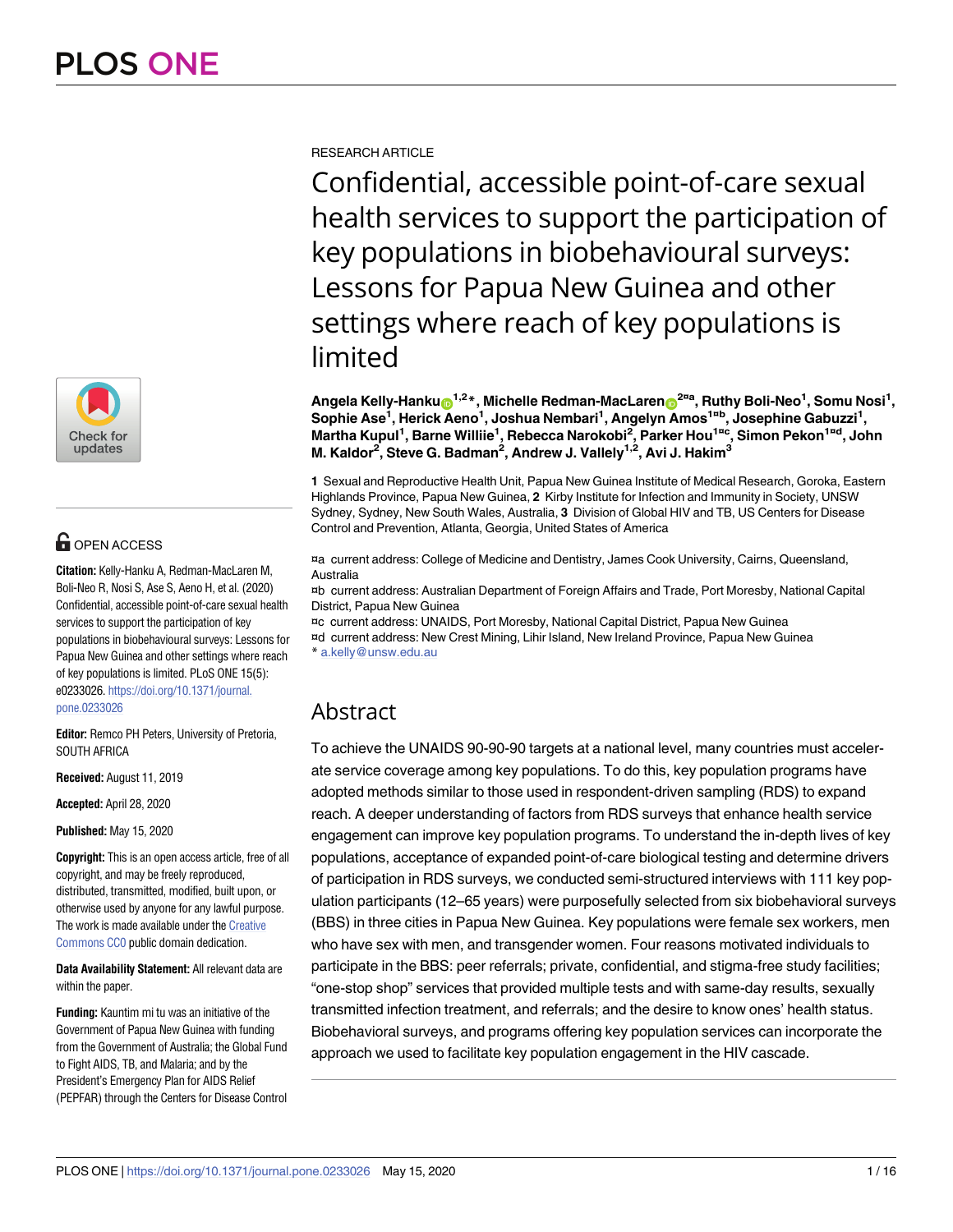

# **G** OPEN ACCESS

**Citation:** Kelly-Hanku A, Redman-MacLaren M, Boli-Neo R, Nosi S, Ase S, Aeno H, et al. (2020) Confidential, accessible point-of-care sexual health services to support the participation of key populations in biobehavioural surveys: Lessons for Papua New Guinea and other settings where reach of key populations is limited. PLoS ONE 15(5): e0233026. [https://doi.org/10.1371/journal.](https://doi.org/10.1371/journal.pone.0233026) [pone.0233026](https://doi.org/10.1371/journal.pone.0233026)

**Editor:** Remco PH Peters, University of Pretoria, SOUTH AFRICA

**Received:** August 11, 2019

**Accepted:** April 28, 2020

**Published:** May 15, 2020

**Copyright:** This is an open access article, free of all copyright, and may be freely reproduced, distributed, transmitted, modified, built upon, or otherwise used by anyone for any lawful purpose. The work is made available under the [Creative](https://creativecommons.org/publicdomain/zero/1.0/) [Commons](https://creativecommons.org/publicdomain/zero/1.0/) CC0 public domain dedication.

**Data Availability Statement:** All relevant data are within the paper.

**Funding:** Kauntim mi tu was an initiative of the Government of Papua New Guinea with funding from the Government of Australia; the Global Fund to Fight AIDS, TB, and Malaria; and by the President's Emergency Plan for AIDS Relief (PEPFAR) through the Centers for Disease Control

RESEARCH ARTICLE

Confidential, accessible point-of-care sexual health services to support the participation of key populations in biobehavioural surveys: Lessons for Papua New Guinea and other settings where reach of key populations is limited

 $\blacksquare$ **Angela Kelly-Hanku** $\blacksquare^{1,2*}$ **, Michelle Redman-MacLaren** $\blacksquare^{2^{\text{na}}}$ **, Ruthy Boli-Neo** $^1$ **, Somu Nosi** $^1$ **, Sophie Ase1 , Herick Aeno1 , Joshua Nembari1 , Angelyn Amos1¤<sup>b</sup> , Josephine Gabuzzi1 ,** Martha Kupul<sup>1</sup>, Barne Williie<sup>1</sup>, Rebecca Narokobi<sup>2</sup>, Parker Hou<sup>1¤c</sup>, Simon Pekon<sup>1¤d</sup>, John  $M$ . Kaldor<sup>2</sup>, Steve G. Badman<sup>2</sup>, Andrew J. Vallely<sup>1,2</sup>, Avi J. Hakim<sup>3</sup>

**1** Sexual and Reproductive Health Unit, Papua New Guinea Institute of Medical Research, Goroka, Eastern Highlands Province, Papua New Guinea, **2** Kirby Institute for Infection and Immunity in Society, UNSW Sydney, Sydney, New South Wales, Australia, **3** Division of Global HIV and TB, US Centers for Disease Control and Prevention, Atlanta, Georgia, United States of America

¤a current address: College of Medicine and Dentistry, James Cook University, Cairns, Queensland, Australia

¤b current address: Australian Department of Foreign Affairs and Trade, Port Moresby, National Capital District, Papua New Guinea

¤c current address: UNAIDS, Port Moresby, National Capital District, Papua New Guinea

¤d current address: New Crest Mining, Lihir Island, New Ireland Province, Papua New Guinea \* a.kelly@unsw.edu.au

# Abstract

To achieve the UNAIDS 90-90-90 targets at a national level, many countries must accelerate service coverage among key populations. To do this, key population programs have adopted methods similar to those used in respondent-driven sampling (RDS) to expand reach. A deeper understanding of factors from RDS surveys that enhance health service engagement can improve key population programs. To understand the in-depth lives of key populations, acceptance of expanded point-of-care biological testing and determine drivers of participation in RDS surveys, we conducted semi-structured interviews with 111 key population participants (12–65 years) were purposefully selected from six biobehavioral surveys (BBS) in three cities in Papua New Guinea. Key populations were female sex workers, men who have sex with men, and transgender women. Four reasons motivated individuals to participate in the BBS: peer referrals; private, confidential, and stigma-free study facilities; "one-stop shop" services that provided multiple tests and with same-day results, sexually transmitted infection treatment, and referrals; and the desire to know ones' health status. Biobehavioral surveys, and programs offering key population services can incorporate the approach we used to facilitate key population engagement in the HIV cascade.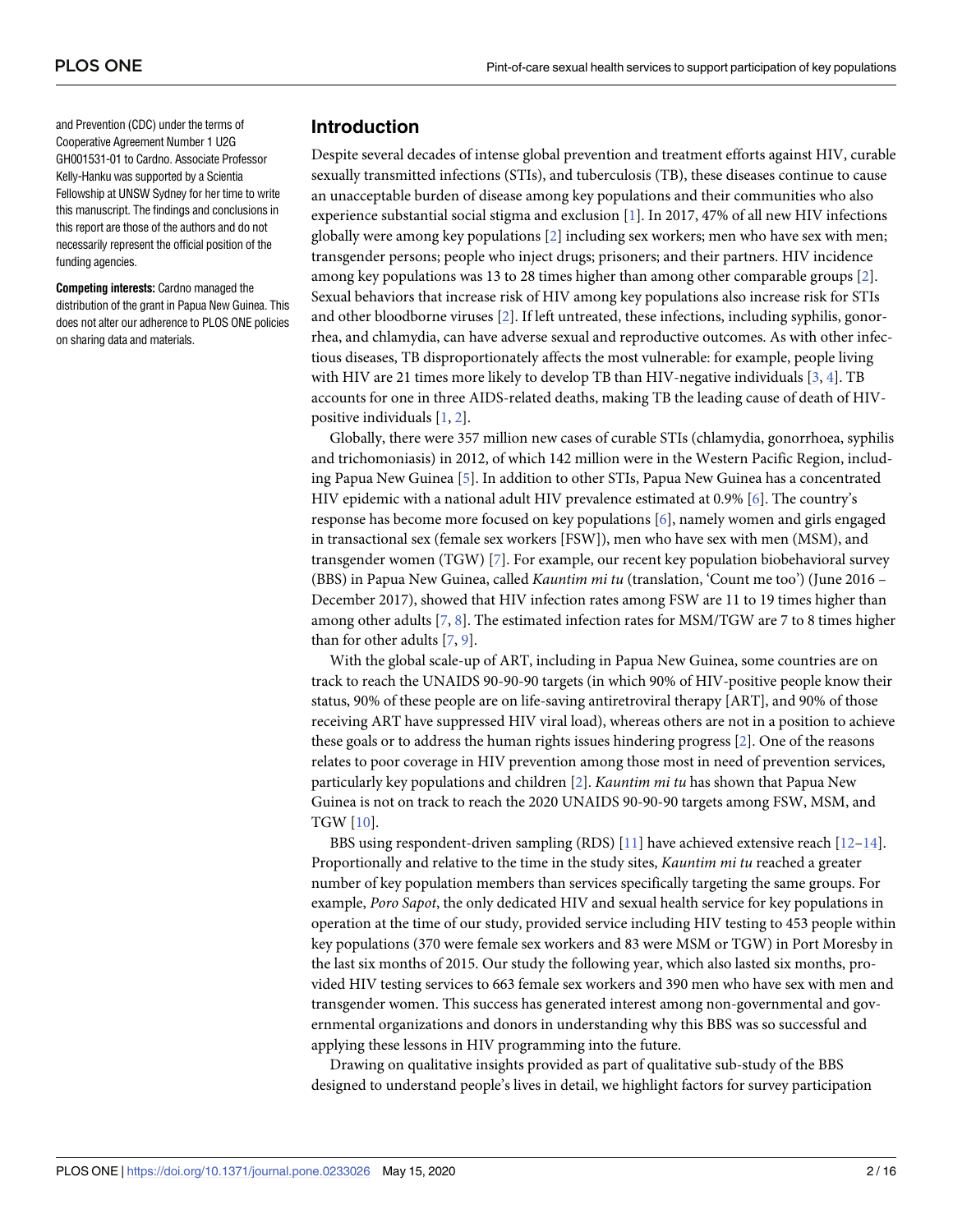<span id="page-1-0"></span>and Prevention (CDC) under the terms of Cooperative Agreement Number 1 U2G GH001531-01 to Cardno. Associate Professor Kelly-Hanku was supported by a Scientia Fellowship at UNSW Sydney for her time to write this manuscript. The findings and conclusions in this report are those of the authors and do not necessarily represent the official position of the funding agencies.

**Competing interests:** Cardno managed the distribution of the grant in Papua New Guinea. This does not alter our adherence to PLOS ONE policies on sharing data and materials.

## **Introduction**

Despite several decades of intense global prevention and treatment efforts against HIV, curable sexually transmitted infections (STIs), and tuberculosis (TB), these diseases continue to cause an unacceptable burden of disease among key populations and their communities who also experience substantial social stigma and exclusion [[1\]](#page-14-0). In 2017, 47% of all new HIV infections globally were among key populations [\[2](#page-14-0)] including sex workers; men who have sex with men; transgender persons; people who inject drugs; prisoners; and their partners. HIV incidence among key populations was 13 to 28 times higher than among other comparable groups [[2\]](#page-14-0). Sexual behaviors that increase risk of HIV among key populations also increase risk for STIs and other bloodborne viruses [[2\]](#page-14-0). If left untreated, these infections, including syphilis, gonorrhea, and chlamydia, can have adverse sexual and reproductive outcomes. As with other infectious diseases, TB disproportionately affects the most vulnerable: for example, people living with HIV are 21 times more likely to develop TB than HIV-negative individuals [[3,](#page-14-0) [4\]](#page-14-0). TB accounts for one in three AIDS-related deaths, making TB the leading cause of death of HIVpositive individuals [\[1,](#page-14-0) [2\]](#page-14-0).

Globally, there were 357 million new cases of curable STIs (chlamydia, gonorrhoea, syphilis and trichomoniasis) in 2012, of which 142 million were in the Western Pacific Region, including Papua New Guinea [\[5](#page-14-0)]. In addition to other STIs, Papua New Guinea has a concentrated HIV epidemic with a national adult HIV prevalence estimated at 0.9% [\[6](#page-14-0)]. The country's response has become more focused on key populations [[6\]](#page-14-0), namely women and girls engaged in transactional sex (female sex workers [FSW]), men who have sex with men (MSM), and transgender women (TGW) [\[7](#page-14-0)]. For example, our recent key population biobehavioral survey (BBS) in Papua New Guinea, called *Kauntim mi tu* (translation, 'Count me too') (June 2016 – December 2017), showed that HIV infection rates among FSW are 11 to 19 times higher than among other adults [[7,](#page-14-0) [8\]](#page-14-0). The estimated infection rates for MSM/TGW are 7 to 8 times higher than for other adults [\[7,](#page-14-0) [9](#page-14-0)].

With the global scale-up of ART, including in Papua New Guinea, some countries are on track to reach the UNAIDS 90-90-90 targets (in which 90% of HIV-positive people know their status, 90% of these people are on life-saving antiretroviral therapy [ART], and 90% of those receiving ART have suppressed HIV viral load), whereas others are not in a position to achieve these goals or to address the human rights issues hindering progress [\[2\]](#page-14-0). One of the reasons relates to poor coverage in HIV prevention among those most in need of prevention services, particularly key populations and children [[2\]](#page-14-0). *Kauntim mi tu* has shown that Papua New Guinea is not on track to reach the 2020 UNAIDS 90-90-90 targets among FSW, MSM, and TGW [[10](#page-14-0)].

BBS using respondent-driven sampling (RDS) [[11](#page-14-0)] have achieved extensive reach [[12](#page-14-0)–[14](#page-14-0)]. Proportionally and relative to the time in the study sites, *Kauntim mi tu* reached a greater number of key population members than services specifically targeting the same groups. For example, *Poro Sapot*, the only dedicated HIV and sexual health service for key populations in operation at the time of our study, provided service including HIV testing to 453 people within key populations (370 were female sex workers and 83 were MSM or TGW) in Port Moresby in the last six months of 2015. Our study the following year, which also lasted six months, provided HIV testing services to 663 female sex workers and 390 men who have sex with men and transgender women. This success has generated interest among non-governmental and governmental organizations and donors in understanding why this BBS was so successful and applying these lessons in HIV programming into the future.

Drawing on qualitative insights provided as part of qualitative sub-study of the BBS designed to understand people's lives in detail, we highlight factors for survey participation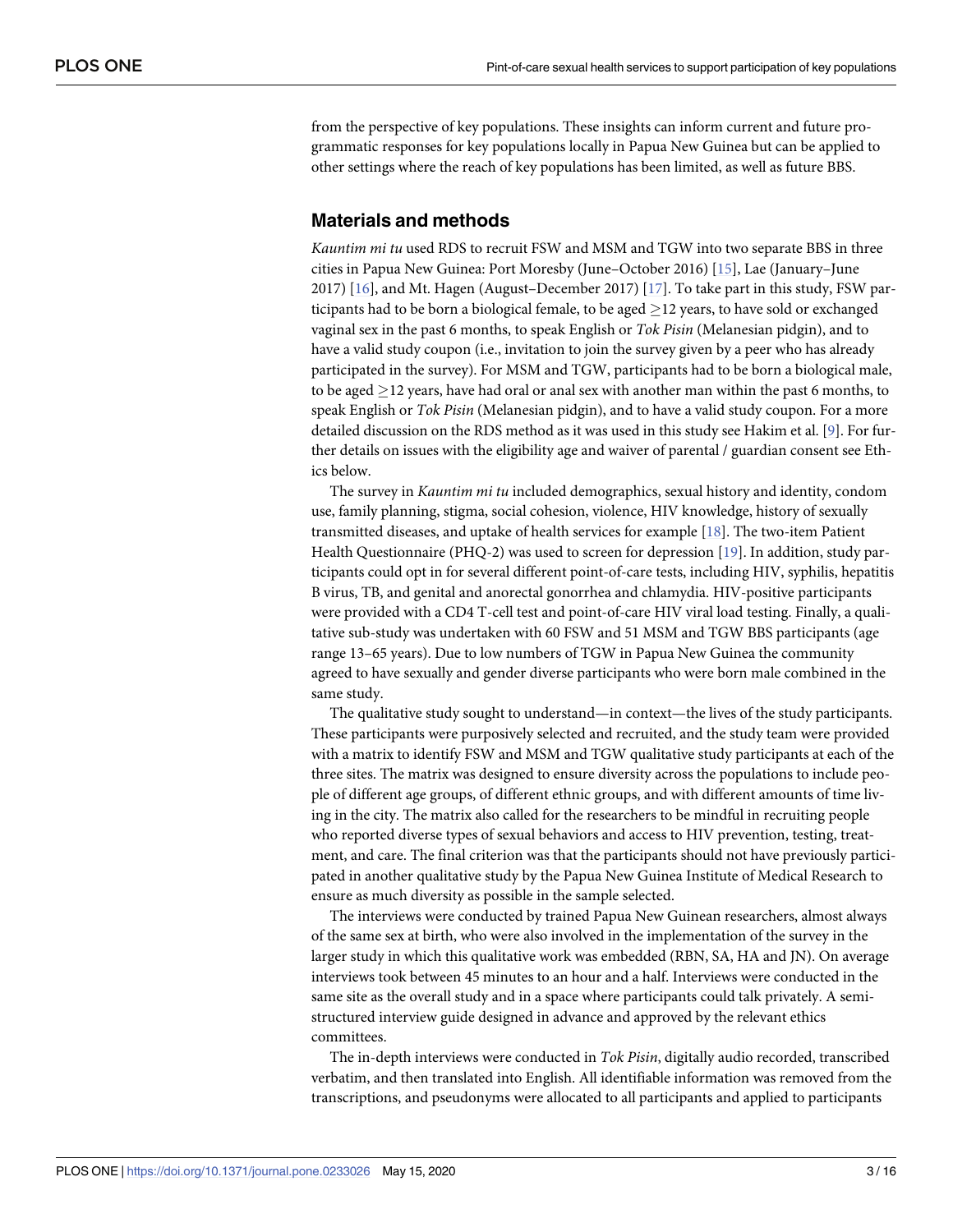<span id="page-2-0"></span>from the perspective of key populations. These insights can inform current and future programmatic responses for key populations locally in Papua New Guinea but can be applied to other settings where the reach of key populations has been limited, as well as future BBS.

## **Materials and methods**

*Kauntim mi tu* used RDS to recruit FSW and MSM and TGW into two separate BBS in three cities in Papua New Guinea: Port Moresby (June–October 2016) [[15](#page-14-0)], Lae (January–June 2017) [\[16\]](#page-15-0), and Mt. Hagen (August–December 2017) [\[17\]](#page-15-0). To take part in this study, FSW participants had to be born a biological female, to be aged  $\geq$  12 years, to have sold or exchanged vaginal sex in the past 6 months, to speak English or *Tok Pisin* (Melanesian pidgin), and to have a valid study coupon (i.e., invitation to join the survey given by a peer who has already participated in the survey). For MSM and TGW, participants had to be born a biological male, to be aged  $\geq$  12 years, have had oral or anal sex with another man within the past 6 months, to speak English or *Tok Pisin* (Melanesian pidgin), and to have a valid study coupon. For a more detailed discussion on the RDS method as it was used in this study see Hakim et al. [[9\]](#page-14-0). For further details on issues with the eligibility age and waiver of parental / guardian consent see Ethics below.

The survey in *Kauntim mi tu* included demographics, sexual history and identity, condom use, family planning, stigma, social cohesion, violence, HIV knowledge, history of sexually transmitted diseases, and uptake of health services for example [[18](#page-15-0)]. The two-item Patient Health Questionnaire (PHQ-2) was used to screen for depression [[19](#page-15-0)]. In addition, study participants could opt in for several different point-of-care tests, including HIV, syphilis, hepatitis B virus, TB, and genital and anorectal gonorrhea and chlamydia. HIV-positive participants were provided with a CD4 T-cell test and point-of-care HIV viral load testing. Finally, a qualitative sub-study was undertaken with 60 FSW and 51 MSM and TGW BBS participants (age range 13–65 years). Due to low numbers of TGW in Papua New Guinea the community agreed to have sexually and gender diverse participants who were born male combined in the same study.

The qualitative study sought to understand—in context—the lives of the study participants. These participants were purposively selected and recruited, and the study team were provided with a matrix to identify FSW and MSM and TGW qualitative study participants at each of the three sites. The matrix was designed to ensure diversity across the populations to include people of different age groups, of different ethnic groups, and with different amounts of time living in the city. The matrix also called for the researchers to be mindful in recruiting people who reported diverse types of sexual behaviors and access to HIV prevention, testing, treatment, and care. The final criterion was that the participants should not have previously participated in another qualitative study by the Papua New Guinea Institute of Medical Research to ensure as much diversity as possible in the sample selected.

The interviews were conducted by trained Papua New Guinean researchers, almost always of the same sex at birth, who were also involved in the implementation of the survey in the larger study in which this qualitative work was embedded (RBN, SA, HA and JN). On average interviews took between 45 minutes to an hour and a half. Interviews were conducted in the same site as the overall study and in a space where participants could talk privately. A semistructured interview guide designed in advance and approved by the relevant ethics committees.

The in-depth interviews were conducted in *Tok Pisin*, digitally audio recorded, transcribed verbatim, and then translated into English. All identifiable information was removed from the transcriptions, and pseudonyms were allocated to all participants and applied to participants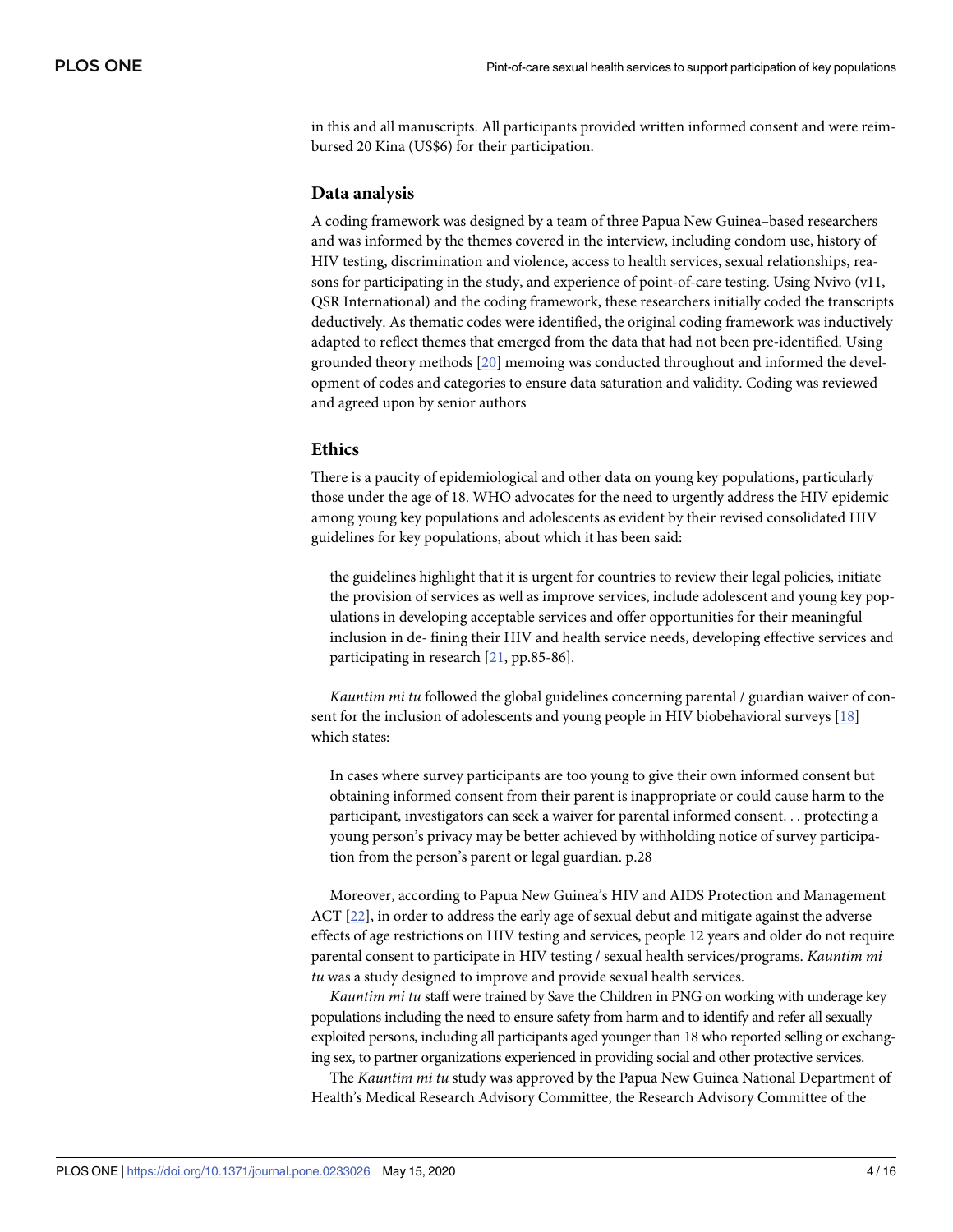<span id="page-3-0"></span>in this and all manuscripts. All participants provided written informed consent and were reimbursed 20 Kina (US\$6) for their participation.

#### **Data analysis**

A coding framework was designed by a team of three Papua New Guinea–based researchers and was informed by the themes covered in the interview, including condom use, history of HIV testing, discrimination and violence, access to health services, sexual relationships, reasons for participating in the study, and experience of point-of-care testing. Using Nvivo (v11, QSR International) and the coding framework, these researchers initially coded the transcripts deductively. As thematic codes were identified, the original coding framework was inductively adapted to reflect themes that emerged from the data that had not been pre-identified. Using grounded theory methods [\[20\]](#page-15-0) memoing was conducted throughout and informed the development of codes and categories to ensure data saturation and validity. Coding was reviewed and agreed upon by senior authors

#### **Ethics**

There is a paucity of epidemiological and other data on young key populations, particularly those under the age of 18. WHO advocates for the need to urgently address the HIV epidemic among young key populations and adolescents as evident by their revised consolidated HIV guidelines for key populations, about which it has been said:

the guidelines highlight that it is urgent for countries to review their legal policies, initiate the provision of services as well as improve services, include adolescent and young key populations in developing acceptable services and offer opportunities for their meaningful inclusion in de- fining their HIV and health service needs, developing effective services and participating in research [[21](#page-15-0), pp.85-86].

*Kauntim mi tu* followed the global guidelines concerning parental / guardian waiver of consent for the inclusion of adolescents and young people in HIV biobehavioral surveys [[18](#page-15-0)] which states:

In cases where survey participants are too young to give their own informed consent but obtaining informed consent from their parent is inappropriate or could cause harm to the participant, investigators can seek a waiver for parental informed consent. . . protecting a young person's privacy may be better achieved by withholding notice of survey participation from the person's parent or legal guardian. p.28

Moreover, according to Papua New Guinea's HIV and AIDS Protection and Management ACT [\[22\]](#page-15-0), in order to address the early age of sexual debut and mitigate against the adverse effects of age restrictions on HIV testing and services, people 12 years and older do not require parental consent to participate in HIV testing / sexual health services/programs. *Kauntim mi tu* was a study designed to improve and provide sexual health services.

*Kauntim mi tu* staff were trained by Save the Children in PNG on working with underage key populations including the need to ensure safety from harm and to identify and refer all sexually exploited persons, including all participants aged younger than 18 who reported selling or exchanging sex, to partner organizations experienced in providing social and other protective services.

The *Kauntim mi tu* study was approved by the Papua New Guinea National Department of Health's Medical Research Advisory Committee, the Research Advisory Committee of the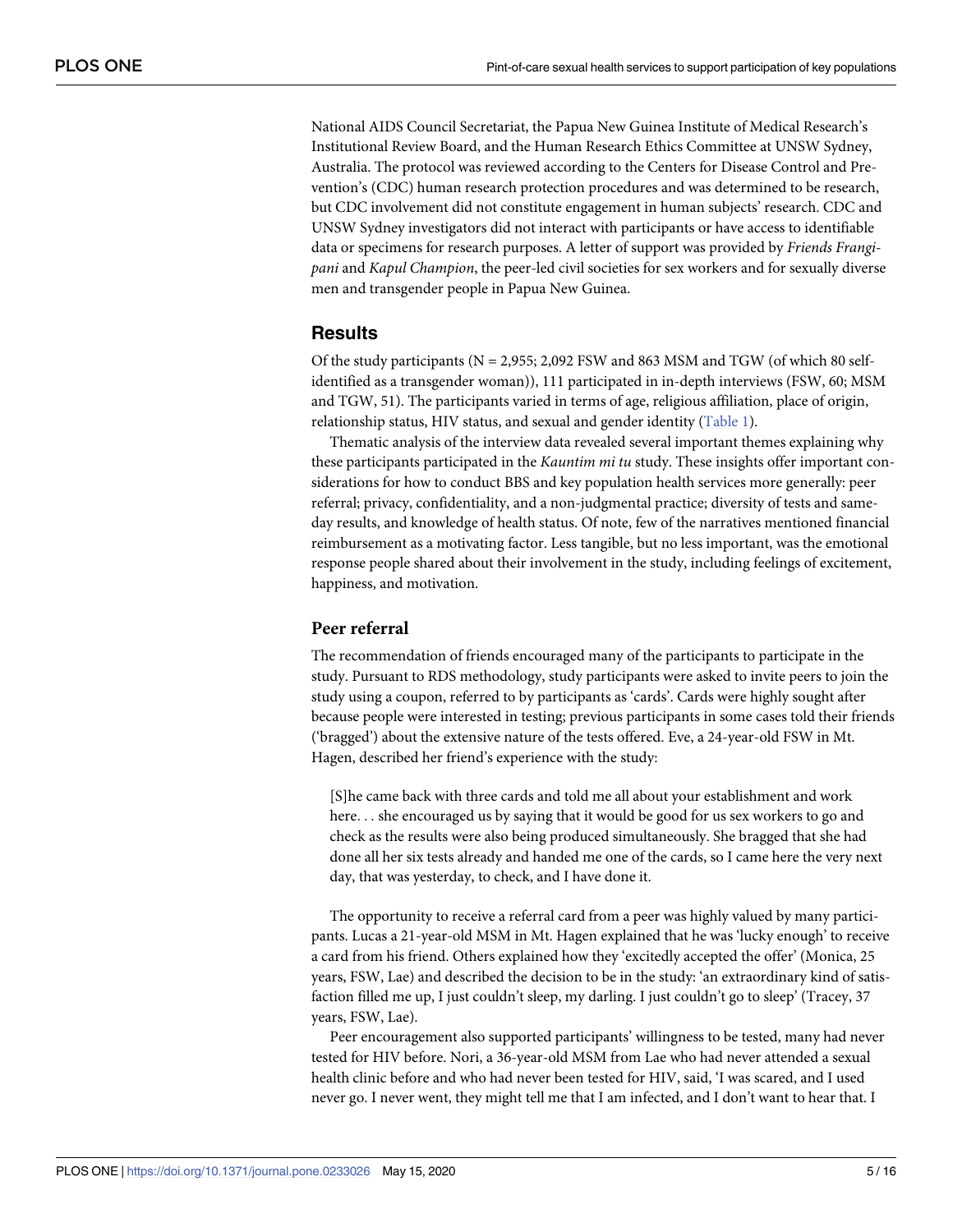<span id="page-4-0"></span>National AIDS Council Secretariat, the Papua New Guinea Institute of Medical Research's Institutional Review Board, and the Human Research Ethics Committee at UNSW Sydney, Australia. The protocol was reviewed according to the Centers for Disease Control and Prevention's (CDC) human research protection procedures and was determined to be research, but CDC involvement did not constitute engagement in human subjects' research. CDC and UNSW Sydney investigators did not interact with participants or have access to identifiable data or specimens for research purposes. A letter of support was provided by *Friends Frangipani* and *Kapul Champion*, the peer-led civil societies for sex workers and for sexually diverse men and transgender people in Papua New Guinea.

### **Results**

Of the study participants ( $N = 2,955; 2,092$  FSW and 863 MSM and TGW (of which 80 selfidentified as a transgender woman)), 111 participated in in-depth interviews (FSW, 60; MSM and TGW, 51). The participants varied in terms of age, religious affiliation, place of origin, relationship status, HIV status, and sexual and gender identity [\(Table](#page-5-0) 1).

Thematic analysis of the interview data revealed several important themes explaining why these participants participated in the *Kauntim mi tu* study. These insights offer important considerations for how to conduct BBS and key population health services more generally: peer referral; privacy, confidentiality, and a non-judgmental practice; diversity of tests and sameday results, and knowledge of health status. Of note, few of the narratives mentioned financial reimbursement as a motivating factor. Less tangible, but no less important, was the emotional response people shared about their involvement in the study, including feelings of excitement, happiness, and motivation.

## **Peer referral**

The recommendation of friends encouraged many of the participants to participate in the study. Pursuant to RDS methodology, study participants were asked to invite peers to join the study using a coupon, referred to by participants as 'cards'. Cards were highly sought after because people were interested in testing; previous participants in some cases told their friends ('bragged') about the extensive nature of the tests offered. Eve, a 24-year-old FSW in Mt. Hagen, described her friend's experience with the study:

[S]he came back with three cards and told me all about your establishment and work here... she encouraged us by saying that it would be good for us sex workers to go and check as the results were also being produced simultaneously. She bragged that she had done all her six tests already and handed me one of the cards, so I came here the very next day, that was yesterday, to check, and I have done it.

The opportunity to receive a referral card from a peer was highly valued by many participants. Lucas a 21-year-old MSM in Mt. Hagen explained that he was 'lucky enough' to receive a card from his friend. Others explained how they 'excitedly accepted the offer' (Monica, 25 years, FSW, Lae) and described the decision to be in the study: 'an extraordinary kind of satisfaction filled me up, I just couldn't sleep, my darling. I just couldn't go to sleep' (Tracey, 37 years, FSW, Lae).

Peer encouragement also supported participants' willingness to be tested, many had never tested for HIV before. Nori, a 36-year-old MSM from Lae who had never attended a sexual health clinic before and who had never been tested for HIV, said, 'I was scared, and I used never go. I never went, they might tell me that I am infected, and I don't want to hear that. I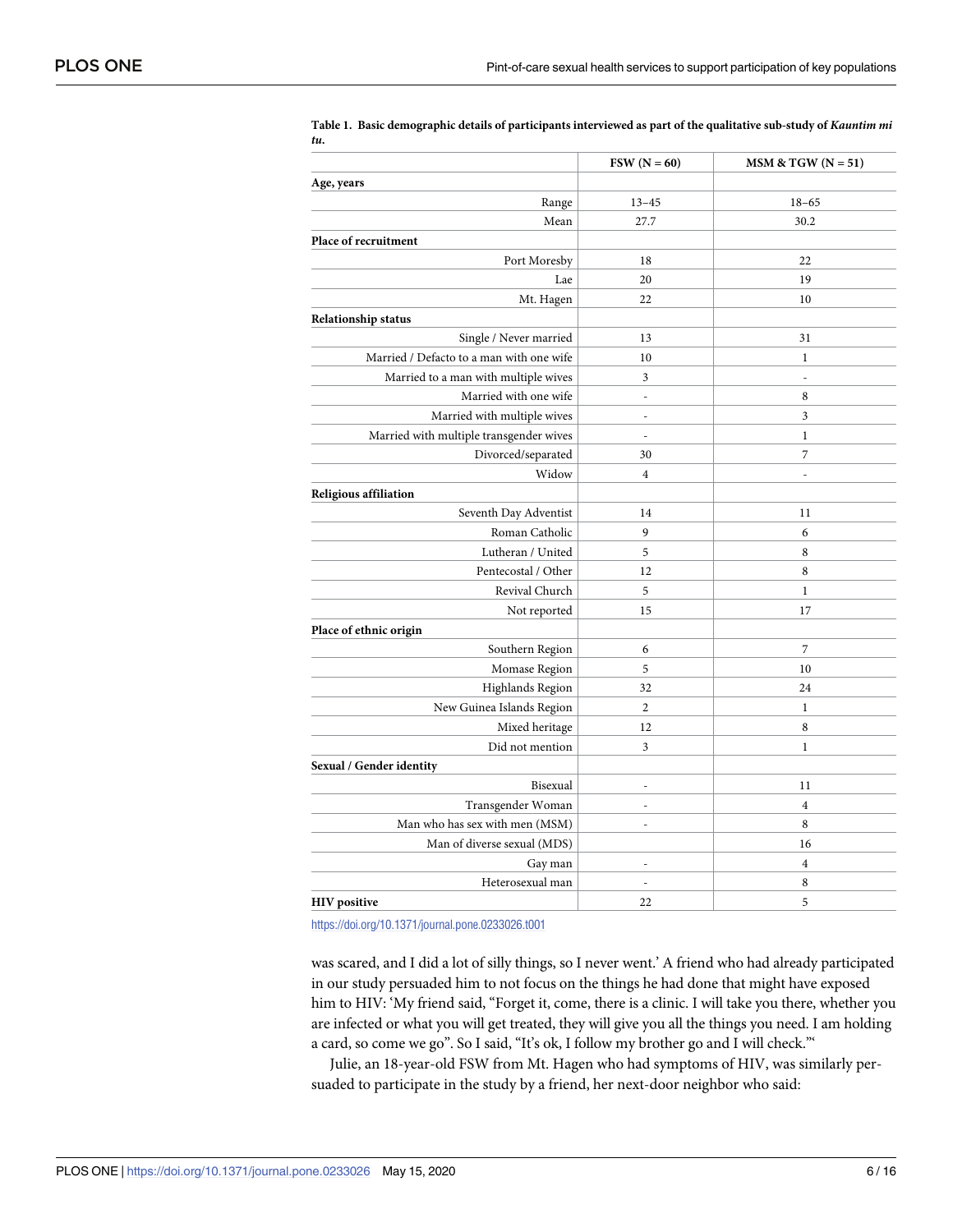|                                          | $FSW (N = 60)$ | $MSM \& TGW (N = 51)$ |
|------------------------------------------|----------------|-----------------------|
| Age, years                               |                |                       |
| Range                                    | $13 - 45$      | $18 - 65$             |
| Mean                                     | 27.7           | 30.2                  |
| Place of recruitment                     |                |                       |
| Port Moresby                             | 18             | 22                    |
| Lae                                      | 20             | 19                    |
| Mt. Hagen                                | 22             | 10                    |
| <b>Relationship status</b>               |                |                       |
| Single / Never married                   | 13             | 31                    |
| Married / Defacto to a man with one wife | 10             | $\mathbf{1}$          |
| Married to a man with multiple wives     | 3              | L,                    |
| Married with one wife                    | $\frac{1}{2}$  | 8                     |
| Married with multiple wives              | $\overline{a}$ | 3                     |
| Married with multiple transgender wives  | $\overline{a}$ | 1                     |
| Divorced/separated                       | 30             | 7                     |
| Widow                                    | 4              | Ĭ.                    |
| Religious affiliation                    |                |                       |
| Seventh Day Adventist                    | 14             | 11                    |
| Roman Catholic                           | 9              | 6                     |
| Lutheran / United                        | 5              | 8                     |
| Pentecostal / Other                      | 12             | 8                     |
| Revival Church                           | 5              | $\mathbf{1}$          |
| Not reported                             | 15             | 17                    |
| Place of ethnic origin                   |                |                       |
| Southern Region                          | 6              | 7                     |
| Momase Region                            | 5              | 10                    |
| Highlands Region                         | 32             | 24                    |
| New Guinea Islands Region                | $\mathbf{2}$   | $\mathbf{1}$          |
| Mixed heritage                           | 12             | 8                     |
| Did not mention                          | 3              | $\mathbf{1}$          |
| Sexual / Gender identity                 |                |                       |
| Bisexual                                 | Ĭ.             | 11                    |
| Transgender Woman                        | L,             | $\overline{4}$        |
| Man who has sex with men (MSM)           | $\overline{a}$ | 8                     |
| Man of diverse sexual (MDS)              |                | 16                    |
| Gay man                                  | $\overline{a}$ | $\bf{4}$              |
| Heterosexual man                         | $\overline{a}$ | 8                     |
| <b>HIV</b> positive                      | 22             | 5                     |

<span id="page-5-0"></span>[Table](#page-4-0) 1. Basic demographic details of participants interviewed as part of the qualitative sub-study of Kauntim mi *tu***.**

<https://doi.org/10.1371/journal.pone.0233026.t001>

was scared, and I did a lot of silly things, so I never went.' A friend who had already participated in our study persuaded him to not focus on the things he had done that might have exposed him to HIV: 'My friend said, "Forget it, come, there is a clinic. I will take you there, whether you are infected or what you will get treated, they will give you all the things you need. I am holding a card, so come we go". So I said, "It's ok, I follow my brother go and I will check."'

Julie, an 18-year-old FSW from Mt. Hagen who had symptoms of HIV, was similarly persuaded to participate in the study by a friend, her next-door neighbor who said: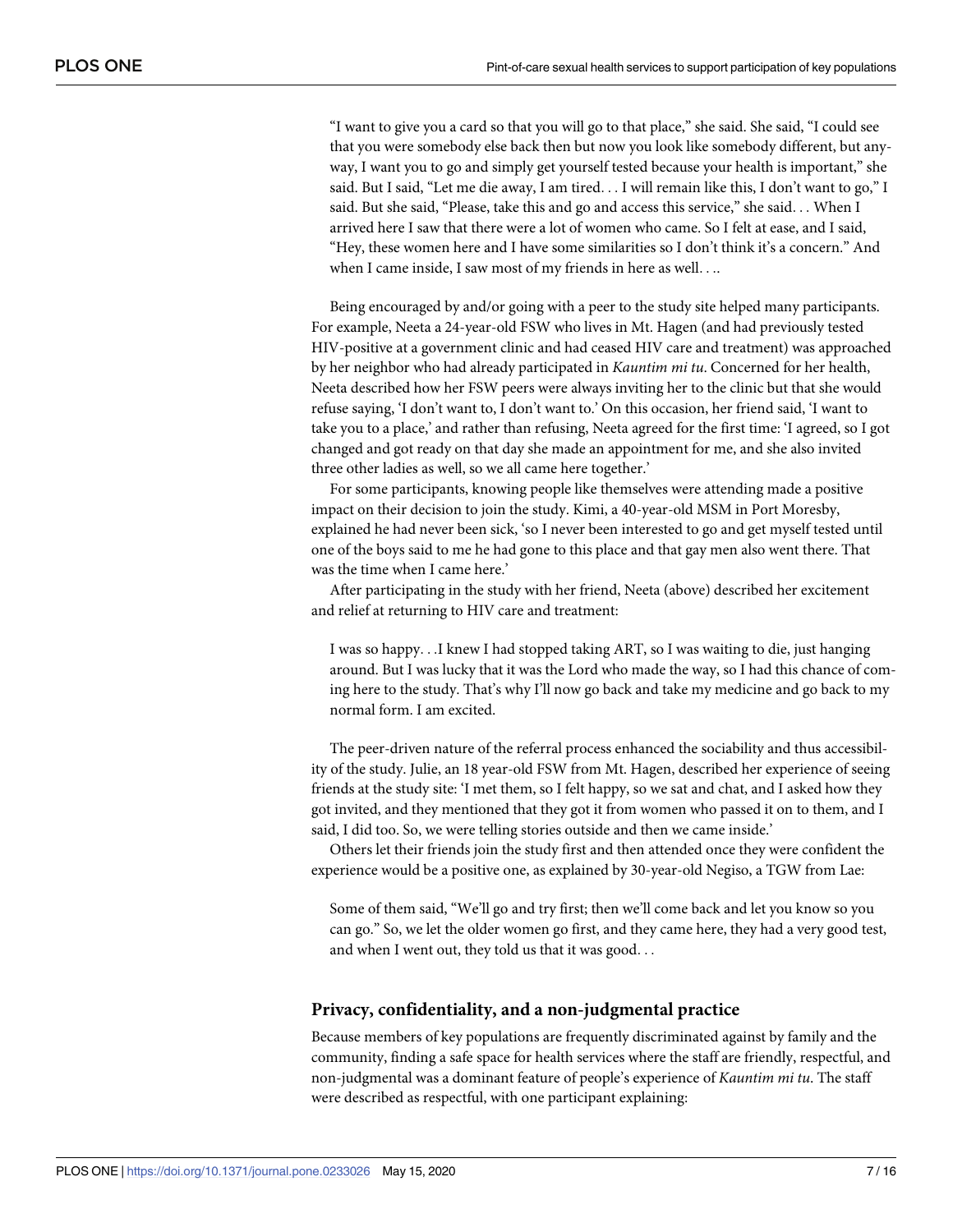"I want to give you a card so that you will go to that place," she said. She said, "I could see that you were somebody else back then but now you look like somebody different, but anyway, I want you to go and simply get yourself tested because your health is important," she said. But I said, "Let me die away, I am tired. . . I will remain like this, I don't want to go," I said. But she said, "Please, take this and go and access this service," she said. . . When I arrived here I saw that there were a lot of women who came. So I felt at ease, and I said, "Hey, these women here and I have some similarities so I don't think it's a concern." And when I came inside, I saw most of my friends in here as well. . ..

Being encouraged by and/or going with a peer to the study site helped many participants. For example, Neeta a 24-year-old FSW who lives in Mt. Hagen (and had previously tested HIV-positive at a government clinic and had ceased HIV care and treatment) was approached by her neighbor who had already participated in *Kauntim mi tu*. Concerned for her health, Neeta described how her FSW peers were always inviting her to the clinic but that she would refuse saying, 'I don't want to, I don't want to.' On this occasion, her friend said, 'I want to take you to a place,' and rather than refusing, Neeta agreed for the first time: 'I agreed, so I got changed and got ready on that day she made an appointment for me, and she also invited three other ladies as well, so we all came here together.'

For some participants, knowing people like themselves were attending made a positive impact on their decision to join the study. Kimi, a 40-year-old MSM in Port Moresby, explained he had never been sick, 'so I never been interested to go and get myself tested until one of the boys said to me he had gone to this place and that gay men also went there. That was the time when I came here.'

After participating in the study with her friend, Neeta (above) described her excitement and relief at returning to HIV care and treatment:

I was so happy. . .I knew I had stopped taking ART, so I was waiting to die, just hanging around. But I was lucky that it was the Lord who made the way, so I had this chance of coming here to the study. That's why I'll now go back and take my medicine and go back to my normal form. I am excited.

The peer-driven nature of the referral process enhanced the sociability and thus accessibility of the study. Julie, an 18 year-old FSW from Mt. Hagen, described her experience of seeing friends at the study site: 'I met them, so I felt happy, so we sat and chat, and I asked how they got invited, and they mentioned that they got it from women who passed it on to them, and I said, I did too. So, we were telling stories outside and then we came inside.'

Others let their friends join the study first and then attended once they were confident the experience would be a positive one, as explained by 30-year-old Negiso, a TGW from Lae:

Some of them said, "We'll go and try first; then we'll come back and let you know so you can go." So, we let the older women go first, and they came here, they had a very good test, and when I went out, they told us that it was good. . .

#### **Privacy, confidentiality, and a non-judgmental practice**

Because members of key populations are frequently discriminated against by family and the community, finding a safe space for health services where the staff are friendly, respectful, and non-judgmental was a dominant feature of people's experience of *Kauntim mi tu*. The staff were described as respectful, with one participant explaining: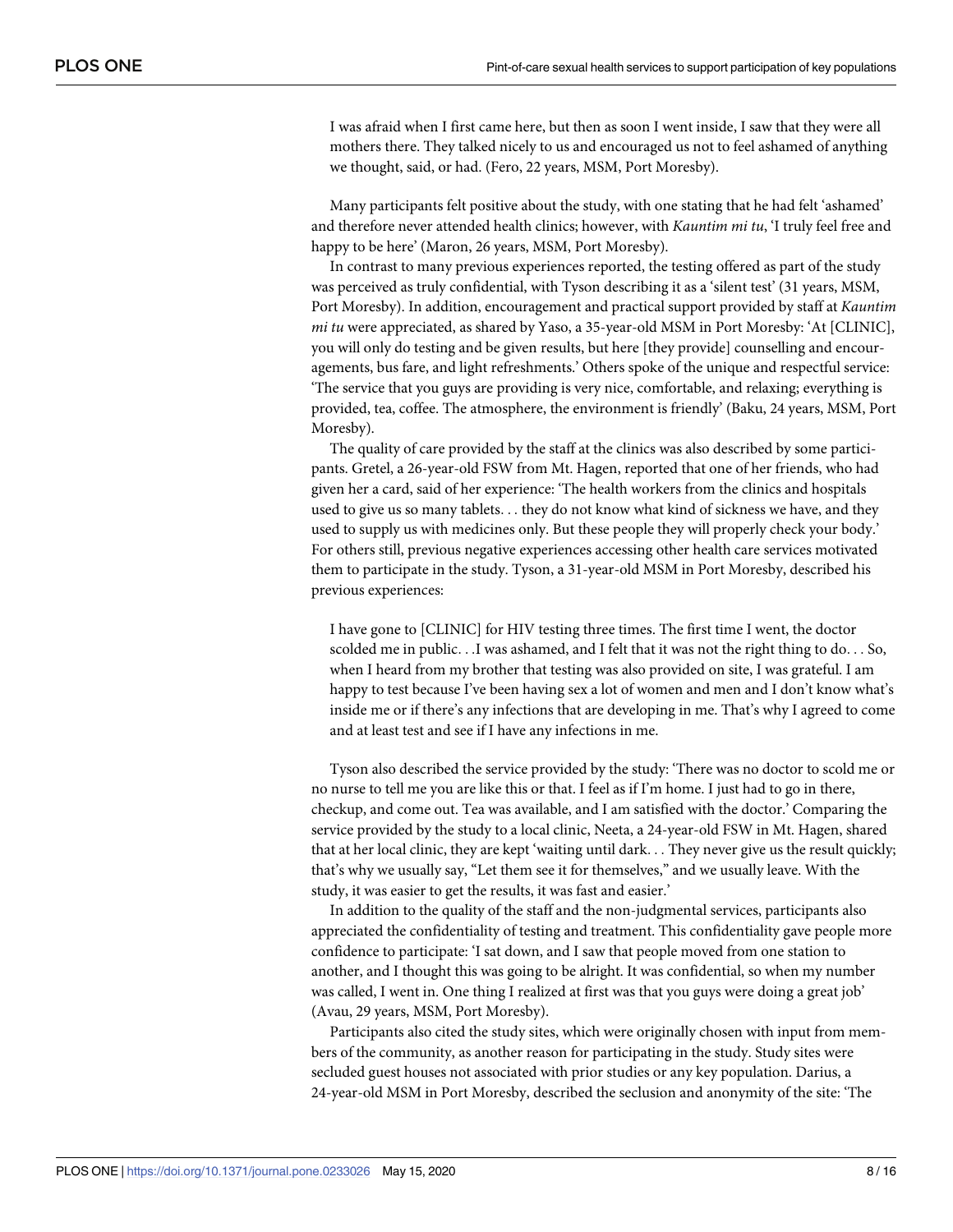I was afraid when I first came here, but then as soon I went inside, I saw that they were all mothers there. They talked nicely to us and encouraged us not to feel ashamed of anything we thought, said, or had. (Fero, 22 years, MSM, Port Moresby).

Many participants felt positive about the study, with one stating that he had felt 'ashamed' and therefore never attended health clinics; however, with *Kauntim mi tu*, 'I truly feel free and happy to be here' (Maron, 26 years, MSM, Port Moresby).

In contrast to many previous experiences reported, the testing offered as part of the study was perceived as truly confidential, with Tyson describing it as a 'silent test' (31 years, MSM, Port Moresby). In addition, encouragement and practical support provided by staff at *Kauntim mi tu* were appreciated, as shared by Yaso, a 35-year-old MSM in Port Moresby: 'At [CLINIC], you will only do testing and be given results, but here [they provide] counselling and encouragements, bus fare, and light refreshments.' Others spoke of the unique and respectful service: 'The service that you guys are providing is very nice, comfortable, and relaxing; everything is provided, tea, coffee. The atmosphere, the environment is friendly' (Baku, 24 years, MSM, Port Moresby).

The quality of care provided by the staff at the clinics was also described by some participants. Gretel, a 26-year-old FSW from Mt. Hagen, reported that one of her friends, who had given her a card, said of her experience: 'The health workers from the clinics and hospitals used to give us so many tablets. . . they do not know what kind of sickness we have, and they used to supply us with medicines only. But these people they will properly check your body.' For others still, previous negative experiences accessing other health care services motivated them to participate in the study. Tyson, a 31-year-old MSM in Port Moresby, described his previous experiences:

I have gone to [CLINIC] for HIV testing three times. The first time I went, the doctor scolded me in public. . .I was ashamed, and I felt that it was not the right thing to do. . . So, when I heard from my brother that testing was also provided on site, I was grateful. I am happy to test because I've been having sex a lot of women and men and I don't know what's inside me or if there's any infections that are developing in me. That's why I agreed to come and at least test and see if I have any infections in me.

Tyson also described the service provided by the study: 'There was no doctor to scold me or no nurse to tell me you are like this or that. I feel as if I'm home. I just had to go in there, checkup, and come out. Tea was available, and I am satisfied with the doctor.' Comparing the service provided by the study to a local clinic, Neeta, a 24-year-old FSW in Mt. Hagen, shared that at her local clinic, they are kept 'waiting until dark. . . They never give us the result quickly; that's why we usually say, "Let them see it for themselves," and we usually leave. With the study, it was easier to get the results, it was fast and easier.'

In addition to the quality of the staff and the non-judgmental services, participants also appreciated the confidentiality of testing and treatment. This confidentiality gave people more confidence to participate: 'I sat down, and I saw that people moved from one station to another, and I thought this was going to be alright. It was confidential, so when my number was called, I went in. One thing I realized at first was that you guys were doing a great job' (Avau, 29 years, MSM, Port Moresby).

Participants also cited the study sites, which were originally chosen with input from members of the community, as another reason for participating in the study. Study sites were secluded guest houses not associated with prior studies or any key population. Darius, a 24-year-old MSM in Port Moresby, described the seclusion and anonymity of the site: 'The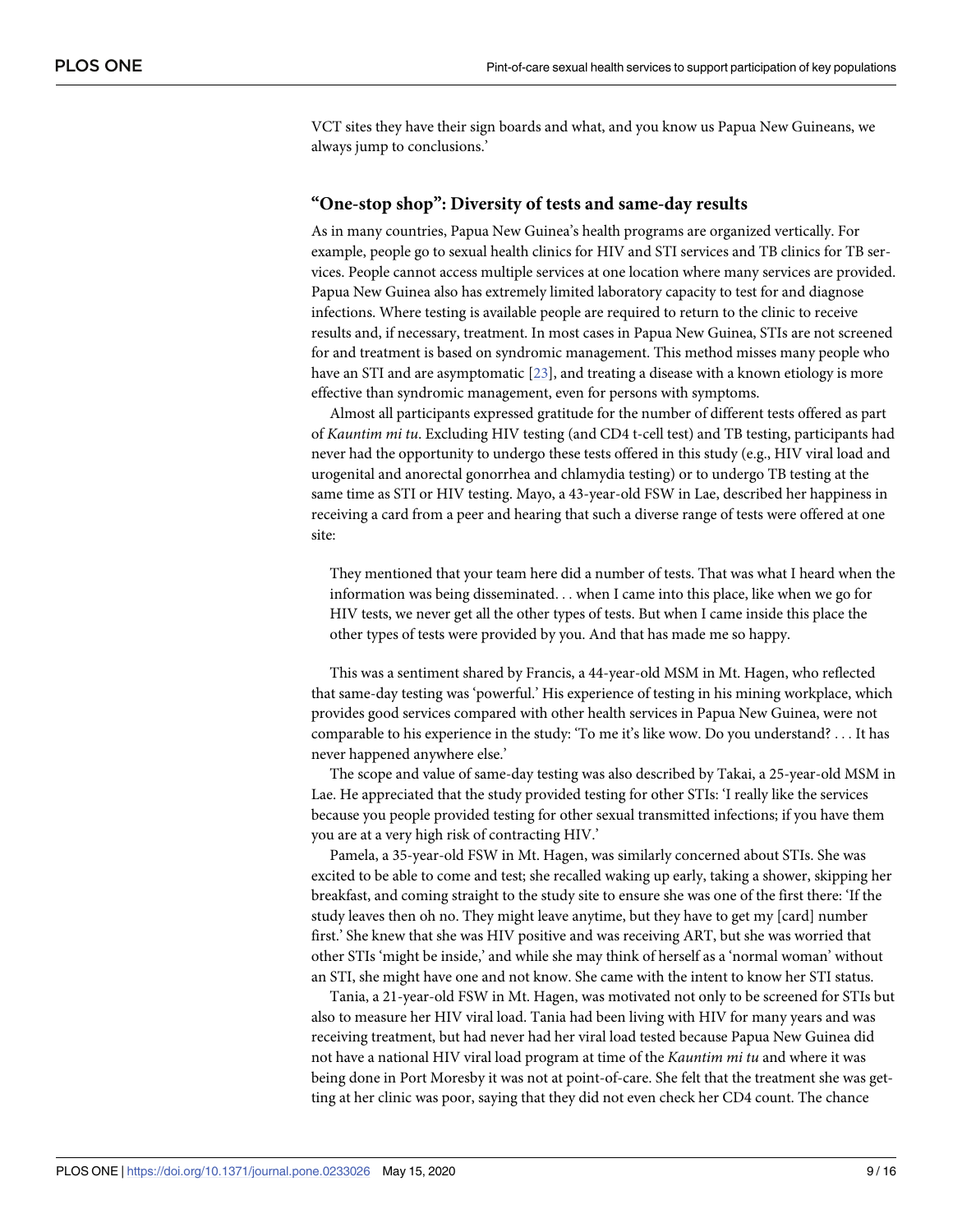<span id="page-8-0"></span>VCT sites they have their sign boards and what, and you know us Papua New Guineans, we always jump to conclusions.'

## **"One-stop shop": Diversity of tests and same-day results**

As in many countries, Papua New Guinea's health programs are organized vertically. For example, people go to sexual health clinics for HIV and STI services and TB clinics for TB services. People cannot access multiple services at one location where many services are provided. Papua New Guinea also has extremely limited laboratory capacity to test for and diagnose infections. Where testing is available people are required to return to the clinic to receive results and, if necessary, treatment. In most cases in Papua New Guinea, STIs are not screened for and treatment is based on syndromic management. This method misses many people who have an STI and are asymptomatic [[23](#page-15-0)], and treating a disease with a known etiology is more effective than syndromic management, even for persons with symptoms.

Almost all participants expressed gratitude for the number of different tests offered as part of *Kauntim mi tu*. Excluding HIV testing (and CD4 t-cell test) and TB testing, participants had never had the opportunity to undergo these tests offered in this study (e.g., HIV viral load and urogenital and anorectal gonorrhea and chlamydia testing) or to undergo TB testing at the same time as STI or HIV testing. Mayo, a 43-year-old FSW in Lae, described her happiness in receiving a card from a peer and hearing that such a diverse range of tests were offered at one site:

They mentioned that your team here did a number of tests. That was what I heard when the information was being disseminated. . . when I came into this place, like when we go for HIV tests, we never get all the other types of tests. But when I came inside this place the other types of tests were provided by you. And that has made me so happy.

This was a sentiment shared by Francis, a 44-year-old MSM in Mt. Hagen, who reflected that same-day testing was 'powerful.' His experience of testing in his mining workplace, which provides good services compared with other health services in Papua New Guinea, were not comparable to his experience in the study: 'To me it's like wow. Do you understand? . . . It has never happened anywhere else.'

The scope and value of same-day testing was also described by Takai, a 25-year-old MSM in Lae. He appreciated that the study provided testing for other STIs: 'I really like the services because you people provided testing for other sexual transmitted infections; if you have them you are at a very high risk of contracting HIV.'

Pamela, a 35-year-old FSW in Mt. Hagen, was similarly concerned about STIs. She was excited to be able to come and test; she recalled waking up early, taking a shower, skipping her breakfast, and coming straight to the study site to ensure she was one of the first there: 'If the study leaves then oh no. They might leave anytime, but they have to get my [card] number first.' She knew that she was HIV positive and was receiving ART, but she was worried that other STIs 'might be inside,' and while she may think of herself as a 'normal woman' without an STI, she might have one and not know. She came with the intent to know her STI status.

Tania, a 21-year-old FSW in Mt. Hagen, was motivated not only to be screened for STIs but also to measure her HIV viral load. Tania had been living with HIV for many years and was receiving treatment, but had never had her viral load tested because Papua New Guinea did not have a national HIV viral load program at time of the *Kauntim mi tu* and where it was being done in Port Moresby it was not at point-of-care. She felt that the treatment she was getting at her clinic was poor, saying that they did not even check her CD4 count. The chance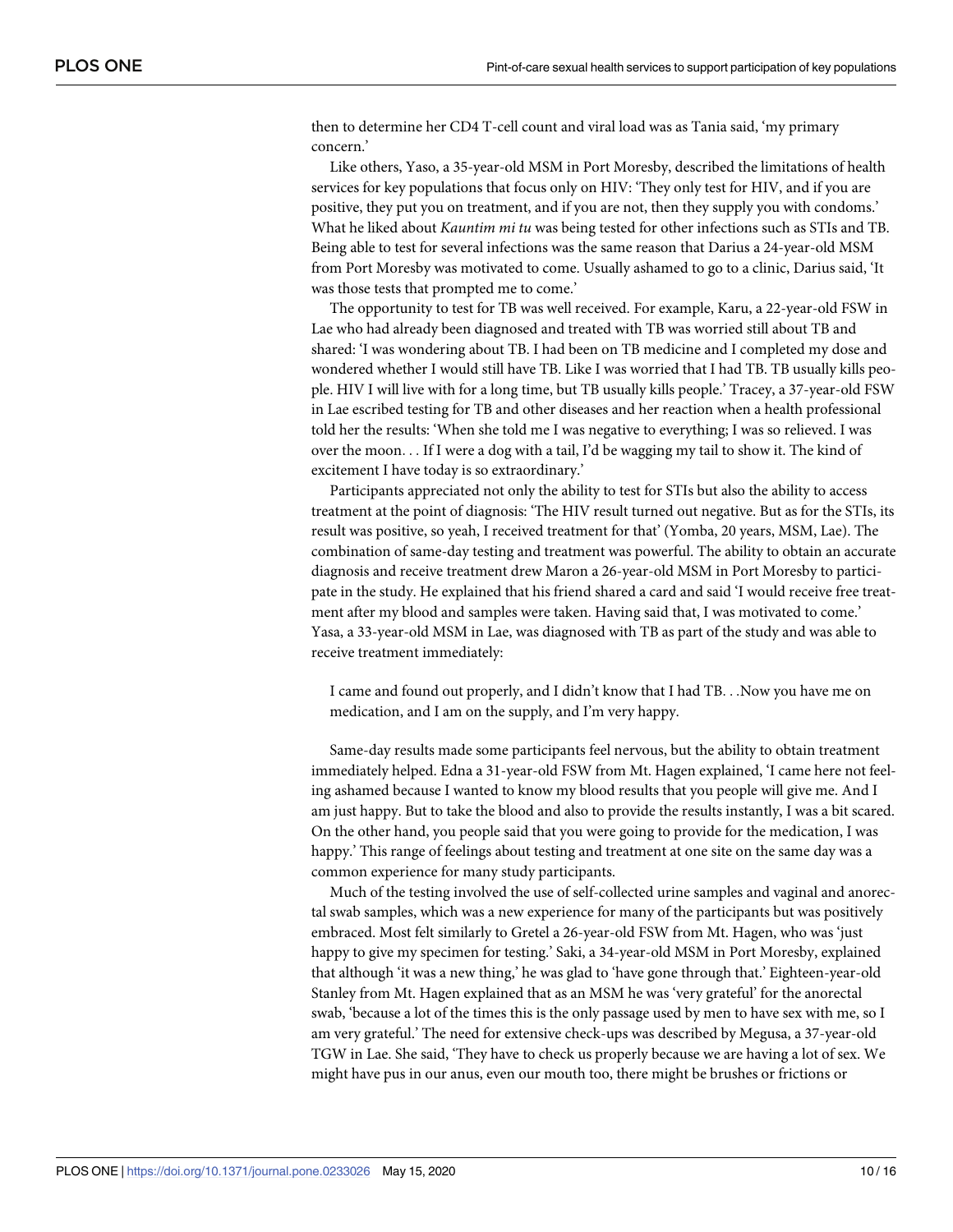then to determine her CD4 T-cell count and viral load was as Tania said, 'my primary concern.'

Like others, Yaso, a 35-year-old MSM in Port Moresby, described the limitations of health services for key populations that focus only on HIV: 'They only test for HIV, and if you are positive, they put you on treatment, and if you are not, then they supply you with condoms.' What he liked about *Kauntim mi tu* was being tested for other infections such as STIs and TB. Being able to test for several infections was the same reason that Darius a 24-year-old MSM from Port Moresby was motivated to come. Usually ashamed to go to a clinic, Darius said, 'It was those tests that prompted me to come.'

The opportunity to test for TB was well received. For example, Karu, a 22-year-old FSW in Lae who had already been diagnosed and treated with TB was worried still about TB and shared: 'I was wondering about TB. I had been on TB medicine and I completed my dose and wondered whether I would still have TB. Like I was worried that I had TB. TB usually kills people. HIV I will live with for a long time, but TB usually kills people.' Tracey, a 37-year-old FSW in Lae escribed testing for TB and other diseases and her reaction when a health professional told her the results: 'When she told me I was negative to everything; I was so relieved. I was over the moon. . . If I were a dog with a tail, I'd be wagging my tail to show it. The kind of excitement I have today is so extraordinary.'

Participants appreciated not only the ability to test for STIs but also the ability to access treatment at the point of diagnosis: 'The HIV result turned out negative. But as for the STIs, its result was positive, so yeah, I received treatment for that' (Yomba, 20 years, MSM, Lae). The combination of same-day testing and treatment was powerful. The ability to obtain an accurate diagnosis and receive treatment drew Maron a 26-year-old MSM in Port Moresby to participate in the study. He explained that his friend shared a card and said 'I would receive free treatment after my blood and samples were taken. Having said that, I was motivated to come.' Yasa, a 33-year-old MSM in Lae, was diagnosed with TB as part of the study and was able to receive treatment immediately:

I came and found out properly, and I didn't know that I had TB. . .Now you have me on medication, and I am on the supply, and I'm very happy.

Same-day results made some participants feel nervous, but the ability to obtain treatment immediately helped. Edna a 31-year-old FSW from Mt. Hagen explained, 'I came here not feeling ashamed because I wanted to know my blood results that you people will give me. And I am just happy. But to take the blood and also to provide the results instantly, I was a bit scared. On the other hand, you people said that you were going to provide for the medication, I was happy.' This range of feelings about testing and treatment at one site on the same day was a common experience for many study participants.

Much of the testing involved the use of self-collected urine samples and vaginal and anorectal swab samples, which was a new experience for many of the participants but was positively embraced. Most felt similarly to Gretel a 26-year-old FSW from Mt. Hagen, who was 'just happy to give my specimen for testing.' Saki, a 34-year-old MSM in Port Moresby, explained that although 'it was a new thing,' he was glad to 'have gone through that.' Eighteen-year-old Stanley from Mt. Hagen explained that as an MSM he was 'very grateful' for the anorectal swab, 'because a lot of the times this is the only passage used by men to have sex with me, so I am very grateful.' The need for extensive check-ups was described by Megusa, a 37-year-old TGW in Lae. She said, 'They have to check us properly because we are having a lot of sex. We might have pus in our anus, even our mouth too, there might be brushes or frictions or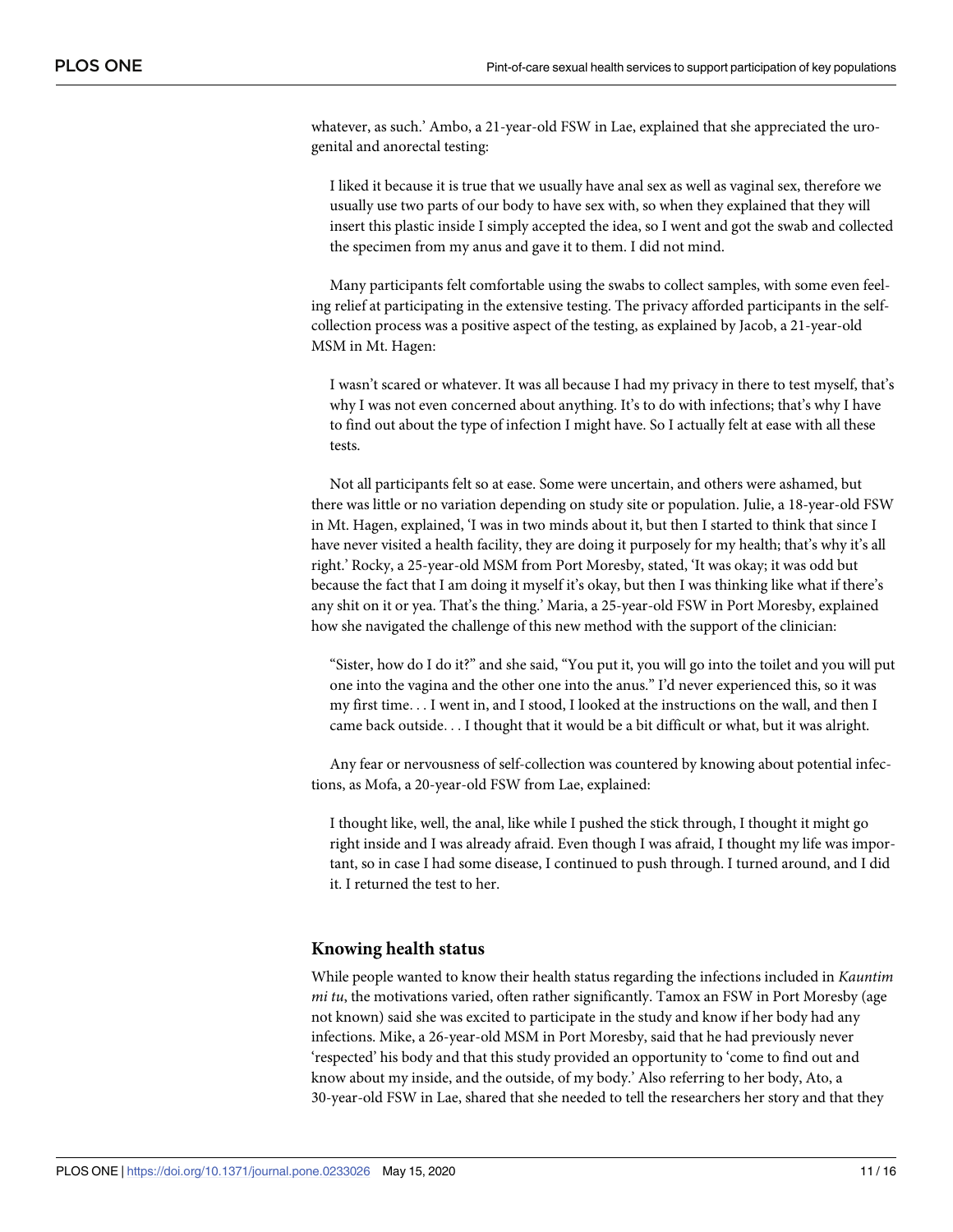whatever, as such.' Ambo, a 21-year-old FSW in Lae, explained that she appreciated the urogenital and anorectal testing:

I liked it because it is true that we usually have anal sex as well as vaginal sex, therefore we usually use two parts of our body to have sex with, so when they explained that they will insert this plastic inside I simply accepted the idea, so I went and got the swab and collected the specimen from my anus and gave it to them. I did not mind.

Many participants felt comfortable using the swabs to collect samples, with some even feeling relief at participating in the extensive testing. The privacy afforded participants in the selfcollection process was a positive aspect of the testing, as explained by Jacob, a 21-year-old MSM in Mt. Hagen:

I wasn't scared or whatever. It was all because I had my privacy in there to test myself, that's why I was not even concerned about anything. It's to do with infections; that's why I have to find out about the type of infection I might have. So I actually felt at ease with all these tests.

Not all participants felt so at ease. Some were uncertain, and others were ashamed, but there was little or no variation depending on study site or population. Julie, a 18-year-old FSW in Mt. Hagen, explained, 'I was in two minds about it, but then I started to think that since I have never visited a health facility, they are doing it purposely for my health; that's why it's all right.' Rocky, a 25-year-old MSM from Port Moresby, stated, 'It was okay; it was odd but because the fact that I am doing it myself it's okay, but then I was thinking like what if there's any shit on it or yea. That's the thing.' Maria, a 25-year-old FSW in Port Moresby, explained how she navigated the challenge of this new method with the support of the clinician:

"Sister, how do I do it?" and she said, "You put it, you will go into the toilet and you will put one into the vagina and the other one into the anus." I'd never experienced this, so it was my first time. . . I went in, and I stood, I looked at the instructions on the wall, and then I came back outside. . . I thought that it would be a bit difficult or what, but it was alright.

Any fear or nervousness of self-collection was countered by knowing about potential infections, as Mofa, a 20-year-old FSW from Lae, explained:

I thought like, well, the anal, like while I pushed the stick through, I thought it might go right inside and I was already afraid. Even though I was afraid, I thought my life was important, so in case I had some disease, I continued to push through. I turned around, and I did it. I returned the test to her.

### **Knowing health status**

While people wanted to know their health status regarding the infections included in *Kauntim mi tu*, the motivations varied, often rather significantly. Tamox an FSW in Port Moresby (age not known) said she was excited to participate in the study and know if her body had any infections. Mike, a 26-year-old MSM in Port Moresby, said that he had previously never 'respected' his body and that this study provided an opportunity to 'come to find out and know about my inside, and the outside, of my body.' Also referring to her body, Ato, a 30-year-old FSW in Lae, shared that she needed to tell the researchers her story and that they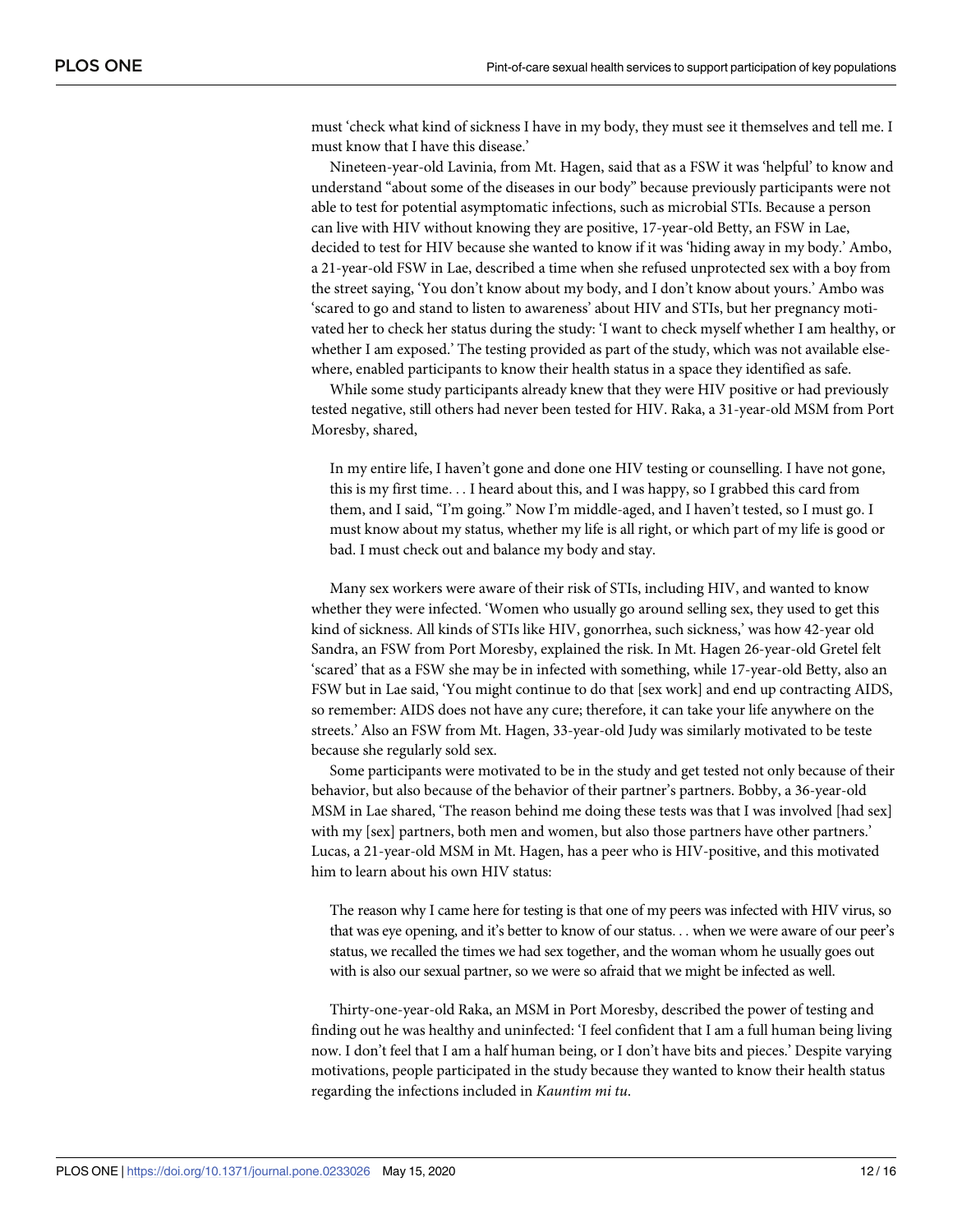must 'check what kind of sickness I have in my body, they must see it themselves and tell me. I must know that I have this disease.'

Nineteen-year-old Lavinia, from Mt. Hagen, said that as a FSW it was 'helpful' to know and understand "about some of the diseases in our body" because previously participants were not able to test for potential asymptomatic infections, such as microbial STIs. Because a person can live with HIV without knowing they are positive, 17-year-old Betty, an FSW in Lae, decided to test for HIV because she wanted to know if it was 'hiding away in my body.' Ambo, a 21-year-old FSW in Lae, described a time when she refused unprotected sex with a boy from the street saying, 'You don't know about my body, and I don't know about yours.' Ambo was 'scared to go and stand to listen to awareness' about HIV and STIs, but her pregnancy motivated her to check her status during the study: 'I want to check myself whether I am healthy, or whether I am exposed.' The testing provided as part of the study, which was not available elsewhere, enabled participants to know their health status in a space they identified as safe.

While some study participants already knew that they were HIV positive or had previously tested negative, still others had never been tested for HIV. Raka, a 31-year-old MSM from Port Moresby, shared,

In my entire life, I haven't gone and done one HIV testing or counselling. I have not gone, this is my first time. . . I heard about this, and I was happy, so I grabbed this card from them, and I said, "I'm going." Now I'm middle-aged, and I haven't tested, so I must go. I must know about my status, whether my life is all right, or which part of my life is good or bad. I must check out and balance my body and stay.

Many sex workers were aware of their risk of STIs, including HIV, and wanted to know whether they were infected. 'Women who usually go around selling sex, they used to get this kind of sickness. All kinds of STIs like HIV, gonorrhea, such sickness,' was how 42-year old Sandra, an FSW from Port Moresby, explained the risk. In Mt. Hagen 26-year-old Gretel felt 'scared' that as a FSW she may be in infected with something, while 17-year-old Betty, also an FSW but in Lae said, 'You might continue to do that [sex work] and end up contracting AIDS, so remember: AIDS does not have any cure; therefore, it can take your life anywhere on the streets.' Also an FSW from Mt. Hagen, 33-year-old Judy was similarly motivated to be teste because she regularly sold sex.

Some participants were motivated to be in the study and get tested not only because of their behavior, but also because of the behavior of their partner's partners. Bobby, a 36-year-old MSM in Lae shared, 'The reason behind me doing these tests was that I was involved [had sex] with my [sex] partners, both men and women, but also those partners have other partners.' Lucas, a 21-year-old MSM in Mt. Hagen, has a peer who is HIV-positive, and this motivated him to learn about his own HIV status:

The reason why I came here for testing is that one of my peers was infected with HIV virus, so that was eye opening, and it's better to know of our status. . . when we were aware of our peer's status, we recalled the times we had sex together, and the woman whom he usually goes out with is also our sexual partner, so we were so afraid that we might be infected as well.

Thirty-one-year-old Raka, an MSM in Port Moresby, described the power of testing and finding out he was healthy and uninfected: 'I feel confident that I am a full human being living now. I don't feel that I am a half human being, or I don't have bits and pieces.' Despite varying motivations, people participated in the study because they wanted to know their health status regarding the infections included in *Kauntim mi tu*.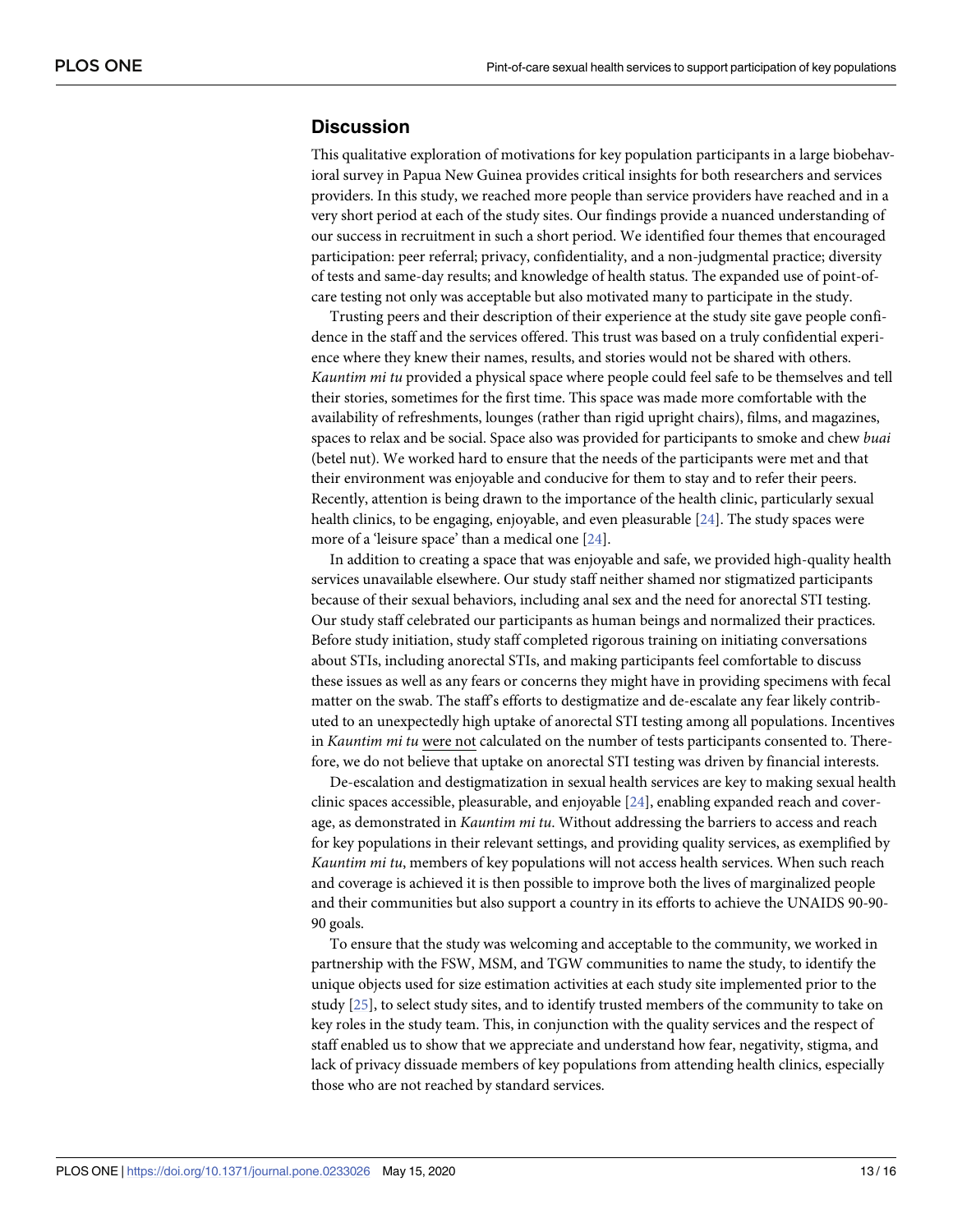## <span id="page-12-0"></span>**Discussion**

This qualitative exploration of motivations for key population participants in a large biobehavioral survey in Papua New Guinea provides critical insights for both researchers and services providers. In this study, we reached more people than service providers have reached and in a very short period at each of the study sites. Our findings provide a nuanced understanding of our success in recruitment in such a short period. We identified four themes that encouraged participation: peer referral; privacy, confidentiality, and a non-judgmental practice; diversity of tests and same-day results; and knowledge of health status. The expanded use of point-ofcare testing not only was acceptable but also motivated many to participate in the study.

Trusting peers and their description of their experience at the study site gave people confidence in the staff and the services offered. This trust was based on a truly confidential experience where they knew their names, results, and stories would not be shared with others. *Kauntim mi tu* provided a physical space where people could feel safe to be themselves and tell their stories, sometimes for the first time. This space was made more comfortable with the availability of refreshments, lounges (rather than rigid upright chairs), films, and magazines, spaces to relax and be social. Space also was provided for participants to smoke and chew *buai* (betel nut). We worked hard to ensure that the needs of the participants were met and that their environment was enjoyable and conducive for them to stay and to refer their peers. Recently, attention is being drawn to the importance of the health clinic, particularly sexual health clinics, to be engaging, enjoyable, and even pleasurable [[24](#page-15-0)]. The study spaces were more of a 'leisure space' than a medical one [[24](#page-15-0)].

In addition to creating a space that was enjoyable and safe, we provided high-quality health services unavailable elsewhere. Our study staff neither shamed nor stigmatized participants because of their sexual behaviors, including anal sex and the need for anorectal STI testing. Our study staff celebrated our participants as human beings and normalized their practices. Before study initiation, study staff completed rigorous training on initiating conversations about STIs, including anorectal STIs, and making participants feel comfortable to discuss these issues as well as any fears or concerns they might have in providing specimens with fecal matter on the swab. The staff's efforts to destigmatize and de-escalate any fear likely contributed to an unexpectedly high uptake of anorectal STI testing among all populations. Incentives in *Kauntim mi tu* were not calculated on the number of tests participants consented to. Therefore, we do not believe that uptake on anorectal STI testing was driven by financial interests.

De-escalation and destigmatization in sexual health services are key to making sexual health clinic spaces accessible, pleasurable, and enjoyable [[24](#page-15-0)], enabling expanded reach and coverage, as demonstrated in *Kauntim mi tu*. Without addressing the barriers to access and reach for key populations in their relevant settings, and providing quality services, as exemplified by *Kauntim mi tu*, members of key populations will not access health services. When such reach and coverage is achieved it is then possible to improve both the lives of marginalized people and their communities but also support a country in its efforts to achieve the UNAIDS 90-90- 90 goals.

To ensure that the study was welcoming and acceptable to the community, we worked in partnership with the FSW, MSM, and TGW communities to name the study, to identify the unique objects used for size estimation activities at each study site implemented prior to the study [\[25\]](#page-15-0), to select study sites, and to identify trusted members of the community to take on key roles in the study team. This, in conjunction with the quality services and the respect of staff enabled us to show that we appreciate and understand how fear, negativity, stigma, and lack of privacy dissuade members of key populations from attending health clinics, especially those who are not reached by standard services.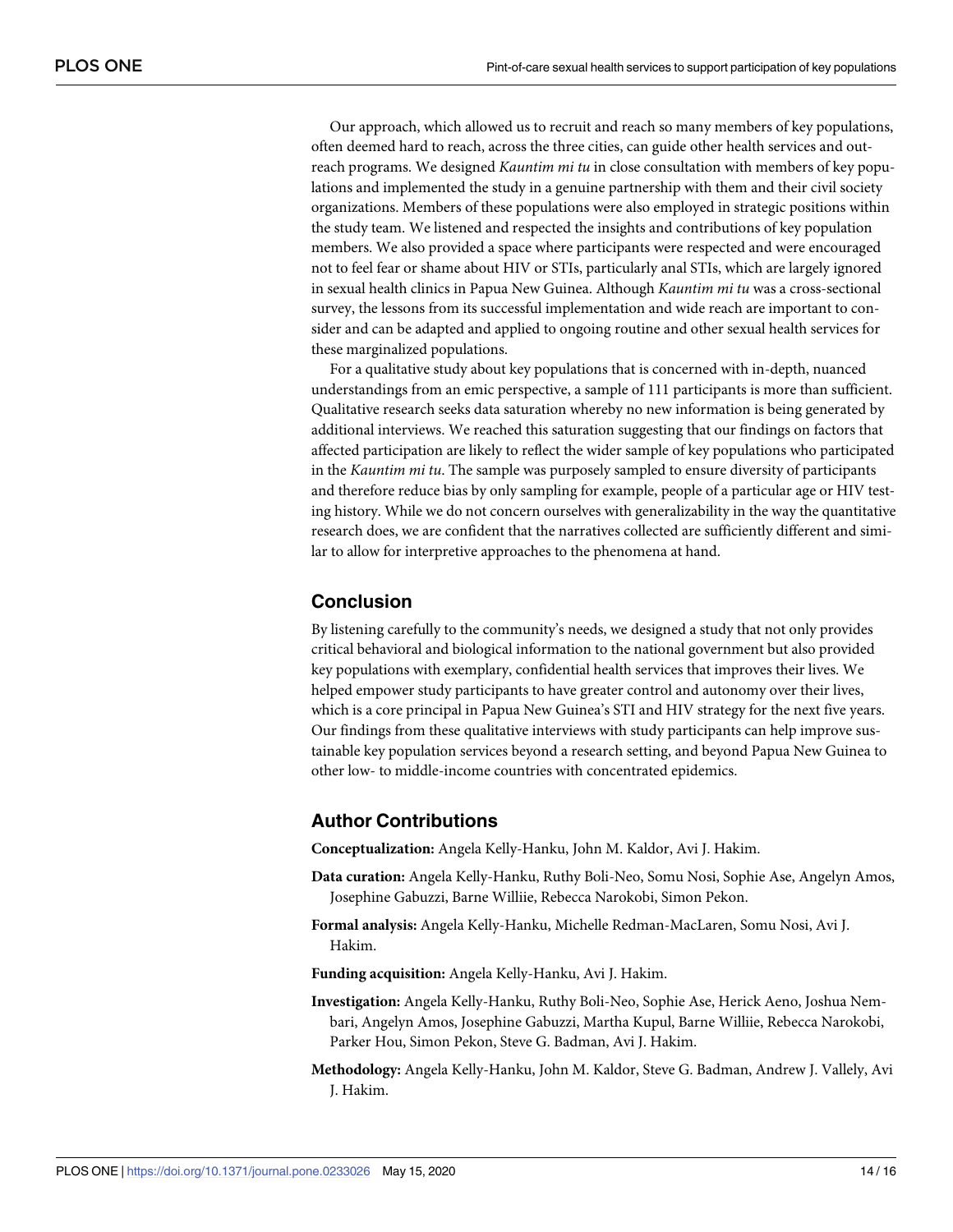Our approach, which allowed us to recruit and reach so many members of key populations, often deemed hard to reach, across the three cities, can guide other health services and outreach programs. We designed *Kauntim mi tu* in close consultation with members of key populations and implemented the study in a genuine partnership with them and their civil society organizations. Members of these populations were also employed in strategic positions within the study team. We listened and respected the insights and contributions of key population members. We also provided a space where participants were respected and were encouraged not to feel fear or shame about HIV or STIs, particularly anal STIs, which are largely ignored in sexual health clinics in Papua New Guinea. Although *Kauntim mi tu* was a cross-sectional survey, the lessons from its successful implementation and wide reach are important to consider and can be adapted and applied to ongoing routine and other sexual health services for these marginalized populations.

For a qualitative study about key populations that is concerned with in-depth, nuanced understandings from an emic perspective, a sample of 111 participants is more than sufficient. Qualitative research seeks data saturation whereby no new information is being generated by additional interviews. We reached this saturation suggesting that our findings on factors that affected participation are likely to reflect the wider sample of key populations who participated in the *Kauntim mi tu*. The sample was purposely sampled to ensure diversity of participants and therefore reduce bias by only sampling for example, people of a particular age or HIV testing history. While we do not concern ourselves with generalizability in the way the quantitative research does, we are confident that the narratives collected are sufficiently different and similar to allow for interpretive approaches to the phenomena at hand.

# **Conclusion**

By listening carefully to the community's needs, we designed a study that not only provides critical behavioral and biological information to the national government but also provided key populations with exemplary, confidential health services that improves their lives. We helped empower study participants to have greater control and autonomy over their lives, which is a core principal in Papua New Guinea's STI and HIV strategy for the next five years. Our findings from these qualitative interviews with study participants can help improve sustainable key population services beyond a research setting, and beyond Papua New Guinea to other low- to middle-income countries with concentrated epidemics.

## **Author Contributions**

**Conceptualization:** Angela Kelly-Hanku, John M. Kaldor, Avi J. Hakim.

- **Data curation:** Angela Kelly-Hanku, Ruthy Boli-Neo, Somu Nosi, Sophie Ase, Angelyn Amos, Josephine Gabuzzi, Barne Williie, Rebecca Narokobi, Simon Pekon.
- **Formal analysis:** Angela Kelly-Hanku, Michelle Redman-MacLaren, Somu Nosi, Avi J. Hakim.
- **Funding acquisition:** Angela Kelly-Hanku, Avi J. Hakim.
- **Investigation:** Angela Kelly-Hanku, Ruthy Boli-Neo, Sophie Ase, Herick Aeno, Joshua Nembari, Angelyn Amos, Josephine Gabuzzi, Martha Kupul, Barne Williie, Rebecca Narokobi, Parker Hou, Simon Pekon, Steve G. Badman, Avi J. Hakim.
- **Methodology:** Angela Kelly-Hanku, John M. Kaldor, Steve G. Badman, Andrew J. Vallely, Avi J. Hakim.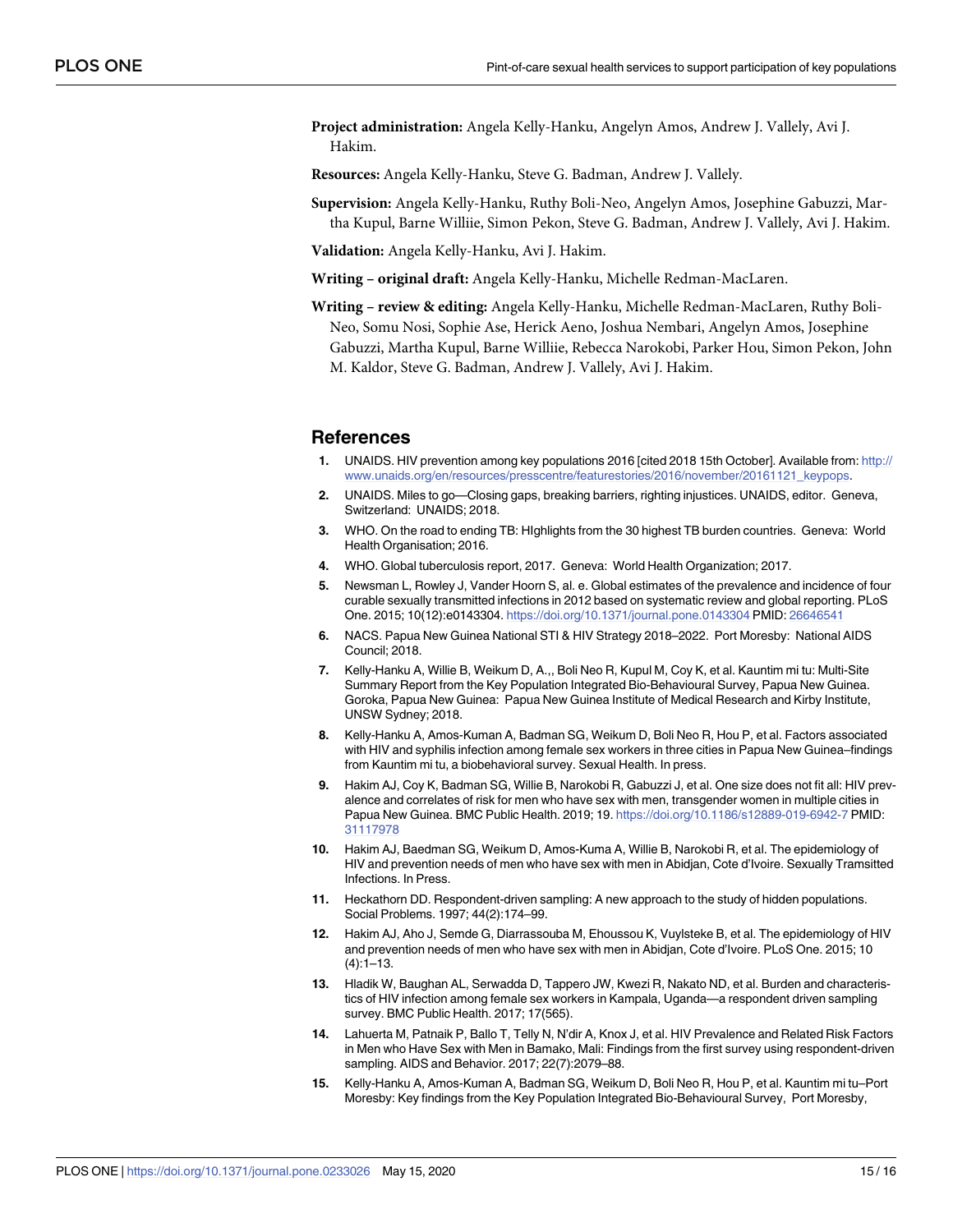<span id="page-14-0"></span>**Project administration:** Angela Kelly-Hanku, Angelyn Amos, Andrew J. Vallely, Avi J. Hakim.

**Resources:** Angela Kelly-Hanku, Steve G. Badman, Andrew J. Vallely.

**Supervision:** Angela Kelly-Hanku, Ruthy Boli-Neo, Angelyn Amos, Josephine Gabuzzi, Martha Kupul, Barne Williie, Simon Pekon, Steve G. Badman, Andrew J. Vallely, Avi J. Hakim.

**Validation:** Angela Kelly-Hanku, Avi J. Hakim.

- **Writing – original draft:** Angela Kelly-Hanku, Michelle Redman-MacLaren.
- **Writing – review & editing:** Angela Kelly-Hanku, Michelle Redman-MacLaren, Ruthy Boli-Neo, Somu Nosi, Sophie Ase, Herick Aeno, Joshua Nembari, Angelyn Amos, Josephine Gabuzzi, Martha Kupul, Barne Williie, Rebecca Narokobi, Parker Hou, Simon Pekon, John M. Kaldor, Steve G. Badman, Andrew J. Vallely, Avi J. Hakim.

#### **References**

- **[1](#page-1-0).** UNAIDS. HIV prevention among key populations 2016 [cited 2018 15th October]. Available from: [http://](http://www.unaids.org/en/resources/presscentre/featurestories/2016/november/20161121_keypops) [www.unaids.org/en/resources/presscentre/featurestories/2016/november/20161121\\_keypops.](http://www.unaids.org/en/resources/presscentre/featurestories/2016/november/20161121_keypops)
- **[2](#page-1-0).** UNAIDS. Miles to go—Closing gaps, breaking barriers, righting injustices. UNAIDS, editor. Geneva, Switzerland: UNAIDS; 2018.
- **[3](#page-1-0).** WHO. On the road to ending TB: HIghlights from the 30 highest TB burden countries. Geneva: World Health Organisation; 2016.
- **[4](#page-1-0).** WHO. Global tuberculosis report, 2017. Geneva: World Health Organization; 2017.
- **[5](#page-1-0).** Newsman L, Rowley J, Vander Hoorn S, al. e. Global estimates of the prevalence and incidence of four curable sexually transmitted infections in 2012 based on systematic review and global reporting. PLoS One. 2015; 10(12):e0143304. <https://doi.org/10.1371/journal.pone.0143304> PMID: [26646541](http://www.ncbi.nlm.nih.gov/pubmed/26646541)
- **[6](#page-1-0).** NACS. Papua New Guinea National STI & HIV Strategy 2018–2022. Port Moresby: National AIDS Council; 2018.
- **[7](#page-1-0).** Kelly-Hanku A, Willie B, Weikum D, A.,, Boli Neo R, Kupul M, Coy K, et al. Kauntim mi tu: Multi-Site Summary Report from the Key Population Integrated Bio-Behavioural Survey, Papua New Guinea. Goroka, Papua New Guinea: Papua New Guinea Institute of Medical Research and Kirby Institute, UNSW Sydney; 2018.
- **[8](#page-1-0).** Kelly-Hanku A, Amos-Kuman A, Badman SG, Weikum D, Boli Neo R, Hou P, et al. Factors associated with HIV and syphilis infection among female sex workers in three cities in Papua New Guinea–findings from Kauntim mi tu, a biobehavioral survey. Sexual Health. In press.
- **[9](#page-1-0).** Hakim AJ, Coy K, Badman SG, Willie B, Narokobi R, Gabuzzi J, et al. One size does not fit all: HIV prevalence and correlates of risk for men who have sex with men, transgender women in multiple cities in Papua New Guinea. BMC Public Health. 2019; 19. <https://doi.org/10.1186/s12889-019-6942-7> PMID: [31117978](http://www.ncbi.nlm.nih.gov/pubmed/31117978)
- **[10](#page-1-0).** Hakim AJ, Baedman SG, Weikum D, Amos-Kuma A, Willie B, Narokobi R, et al. The epidemiology of HIV and prevention needs of men who have sex with men in Abidjan, Cote d'Ivoire. Sexually Tramsitted Infections. In Press.
- **[11](#page-1-0).** Heckathorn DD. Respondent-driven sampling: A new approach to the study of hidden populations. Social Problems. 1997; 44(2):174–99.
- **[12](#page-1-0).** Hakim AJ, Aho J, Semde G, Diarrassouba M, Ehoussou K, Vuylsteke B, et al. The epidemiology of HIV and prevention needs of men who have sex with men in Abidjan, Cote d'Ivoire. PLoS One. 2015; 10  $(4):1-13.$
- **13.** Hladik W, Baughan AL, Serwadda D, Tappero JW, Kwezi R, Nakato ND, et al. Burden and characteristics of HIV infection among female sex workers in Kampala, Uganda—a respondent driven sampling survey. BMC Public Health. 2017; 17(565).
- **[14](#page-1-0).** Lahuerta M, Patnaik P, Ballo T, Telly N, N'dir A, Knox J, et al. HIV Prevalence and Related Risk Factors in Men who Have Sex with Men in Bamako, Mali: Findings from the first survey using respondent-driven sampling. AIDS and Behavior. 2017; 22(7):2079–88.
- **[15](#page-2-0).** Kelly-Hanku A, Amos-Kuman A, Badman SG, Weikum D, Boli Neo R, Hou P, et al. Kauntim mi tu–Port Moresby: Key findings from the Key Population Integrated Bio-Behavioural Survey, Port Moresby,